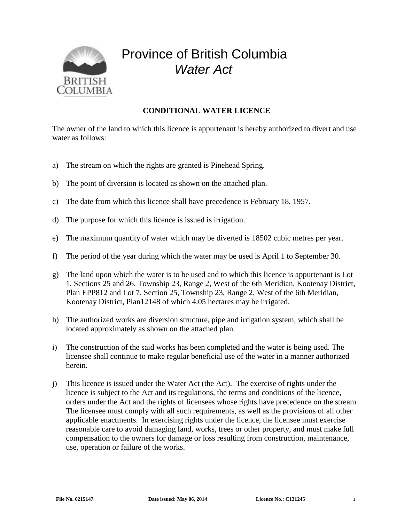

## Province of British Columbia *Water Act*

## **CONDITIONAL WATER LICENCE**

The owner of the land to which this licence is appurtenant is hereby authorized to divert and use water as follows:

- a) The stream on which the rights are granted is Pinehead Spring.
- b) The point of diversion is located as shown on the attached plan.
- c) The date from which this licence shall have precedence is February 18, 1957.
- d) The purpose for which this licence is issued is irrigation.
- e) The maximum quantity of water which may be diverted is 18502 cubic metres per year.
- f) The period of the year during which the water may be used is April 1 to September 30.
- g) The land upon which the water is to be used and to which this licence is appurtenant is Lot 1, Sections 25 and 26, Township 23, Range 2, West of the 6th Meridian, Kootenay District, Plan EPP812 and Lot 7, Section 25, Township 23, Range 2, West of the 6th Meridian, Kootenay District, Plan12148 of which 4.05 hectares may be irrigated.
- h) The authorized works are diversion structure, pipe and irrigation system, which shall be located approximately as shown on the attached plan.
- i) The construction of the said works has been completed and the water is being used. The licensee shall continue to make regular beneficial use of the water in a manner authorized herein.
- j) This licence is issued under the Water Act (the Act). The exercise of rights under the licence is subject to the Act and its regulations, the terms and conditions of the licence, orders under the Act and the rights of licensees whose rights have precedence on the stream. The licensee must comply with all such requirements, as well as the provisions of all other applicable enactments. In exercising rights under the licence, the licensee must exercise reasonable care to avoid damaging land, works, trees or other property, and must make full compensation to the owners for damage or loss resulting from construction, maintenance, use, operation or failure of the works.